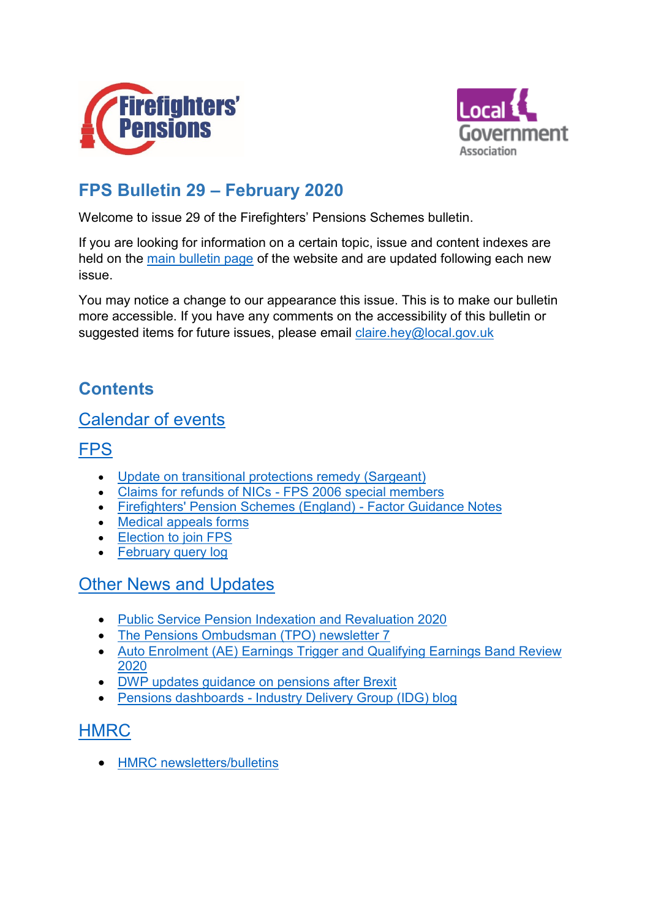



# **FPS Bulletin 29 – February 2020**

Welcome to issue 29 of the Firefighters' Pensions Schemes bulletin.

If you are looking for information on a certain topic, issue and content indexes are held on the [main bulletin page](http://fpsregs.org/index.php/bulletins-and-circulars/bulletins) of the website and are updated following each new issue.

You may notice a change to our appearance this issue. This is to make our bulletin more accessible. If you have any comments on the accessibility of this bulletin or suggested items for future issues, please email [claire.hey@local.gov.uk](mailto:claire.hey@local.gov.uk)

# <span id="page-0-0"></span>**Contents**

## [Calendar of events](#page-1-0)

## **[FPS](#page-1-1)**

- [Update on transitional protections remedy \(Sargeant\)](#page-1-2)
- [Claims for refunds of NICs -](#page-3-0) FPS 2006 special members
- [Firefighters' Pension Schemes \(England\) -](#page-3-1) Factor Guidance Notes
- [Medical appeals forms](#page-4-0)
- [Election to join FPS](#page-5-0)
- February [query log](#page-5-1)

## Other News [and Updates](#page-5-2)

- [Public Service Pension Indexation and Revaluation 2020](#page-5-3)
- [The Pensions Ombudsman \(TPO\) newsletter 7](#page-6-0)
- [Auto Enrolment \(AE\) Earnings Trigger and Qualifying Earnings Band Review](#page-6-1)  [2020](#page-6-1)
- [DWP updates guidance on pensions after Brexit](#page-6-2)
- Pensions dashboards [Industry Delivery Group \(IDG\) blog](#page-6-3)

## **[HMRC](#page-6-4)**

• [HMRC newsletters/bulletins](#page-6-5)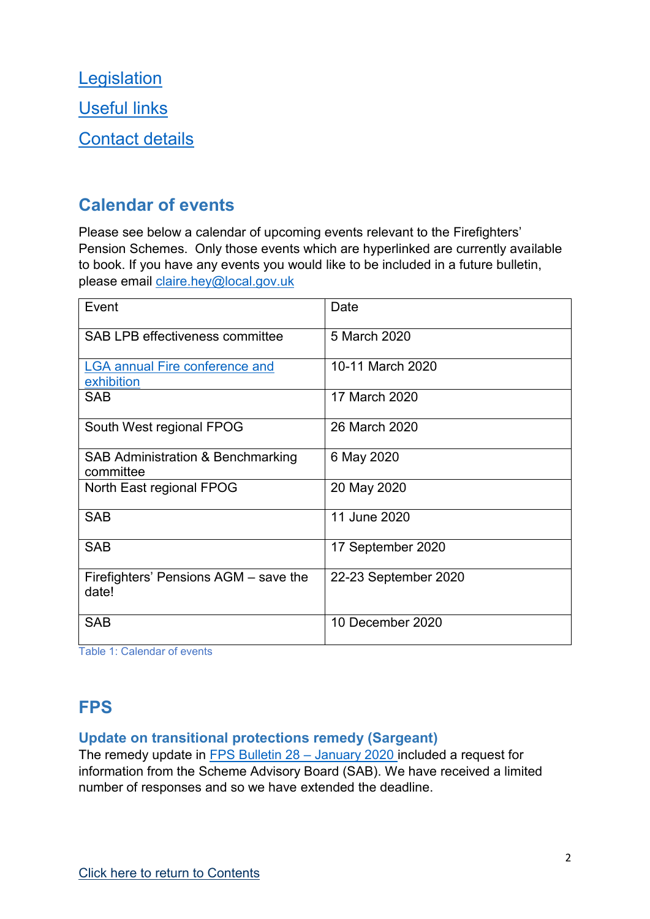**[Legislation](#page-7-0)** [Useful links](#page-7-1) [Contact details](#page-7-2)

## <span id="page-1-0"></span>**Calendar of events**

Please see below a calendar of upcoming events relevant to the Firefighters' Pension Schemes. Only those events which are hyperlinked are currently available to book. If you have any events you would like to be included in a future bulletin, please email [claire.hey@local.gov.uk](mailto:claire.hey@local.gov.uk)

| Event                                               | Date                 |
|-----------------------------------------------------|----------------------|
| <b>SAB LPB effectiveness committee</b>              | 5 March 2020         |
| <b>LGA annual Fire conference and</b><br>exhibition | 10-11 March 2020     |
| <b>SAB</b>                                          | 17 March 2020        |
| South West regional FPOG                            | 26 March 2020        |
| SAB Administration & Benchmarking<br>committee      | 6 May 2020           |
| North East regional FPOG                            | 20 May 2020          |
| <b>SAB</b>                                          | 11 June 2020         |
| <b>SAB</b>                                          | 17 September 2020    |
| Firefighters' Pensions AGM – save the<br>date!      | 22-23 September 2020 |
| <b>SAB</b>                                          | 10 December 2020     |

<span id="page-1-1"></span>Table 1: Calendar of events

## **FPS**

### <span id="page-1-2"></span>**Update on transitional protections remedy (Sargeant)**

The remedy update in [FPS Bulletin 28](http://fpsregs.org/images/Bulletins/Bulletin-28-January-2020/Bulletin-28.pdf) – January 2020 included a request for information from the Scheme Advisory Board (SAB). We have received a limited number of responses and so we have extended the deadline.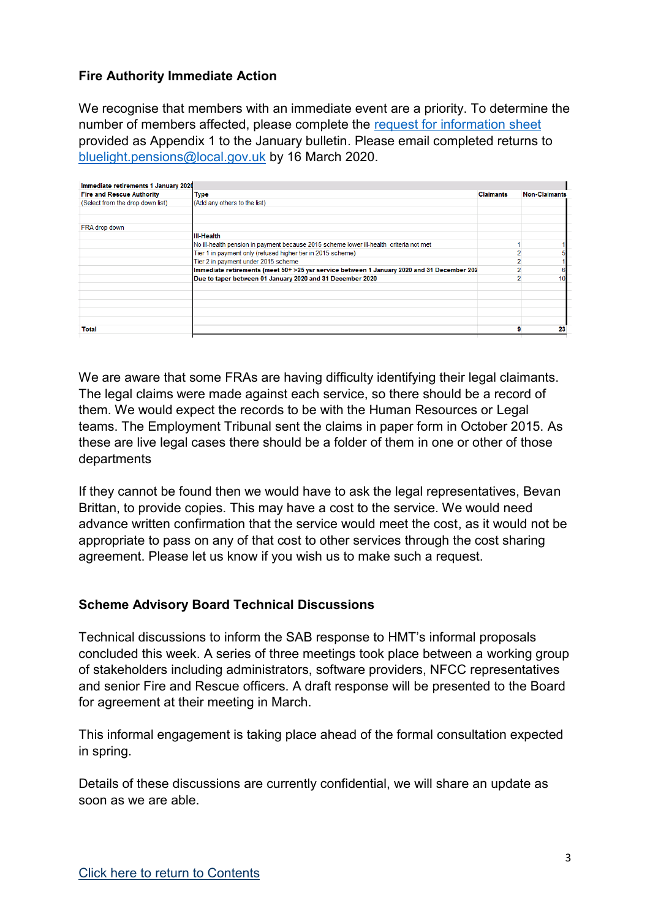#### **Fire Authority Immediate Action**

We recognise that members with an immediate event are a priority. To determine the number of members affected, please complete the [request for information sheet](http://fpsregs.org/images/Bulletins/Bulletin-28-January-2020/Bulletin-28-Appendix-1.xlsx) provided as Appendix 1 to the January bulletin. Please email completed returns to [bluelight.pensions@local.gov.uk](mailto:bluelight.pensions@local.gov.uk) by 16 March 2020.

| Immediate retirements 1 January 2020 |                                                                                            |                  |                      |
|--------------------------------------|--------------------------------------------------------------------------------------------|------------------|----------------------|
| <b>Fire and Rescue Authority</b>     | Type                                                                                       | <b>Claimants</b> | <b>Non-Claimants</b> |
| (Select from the drop down list)     | (Add any others to the list)                                                               |                  |                      |
| <b>FRA</b> drop down                 |                                                                                            |                  |                      |
|                                      | <b>III-Health</b>                                                                          |                  |                      |
|                                      | No ill-health pension in payment because 2015 scheme lower ill-health criteria not met     |                  |                      |
|                                      | Tier 1 in payment only (refused higher tier in 2015 scheme)                                |                  |                      |
|                                      | Tier 2 in payment under 2015 scheme                                                        |                  |                      |
|                                      | Immediate retirements (meet 50+ >25 ysr service between 1 January 2020 and 31 December 202 |                  |                      |
|                                      | Due to taper between 01 January 2020 and 31 December 2020                                  |                  |                      |
|                                      |                                                                                            |                  |                      |
|                                      |                                                                                            |                  |                      |
|                                      |                                                                                            |                  |                      |
| Total                                |                                                                                            |                  | 23                   |

We are aware that some FRAs are having difficulty identifying their legal claimants. The legal claims were made against each service, so there should be a record of them. We would expect the records to be with the Human Resources or Legal teams. The Employment Tribunal sent the claims in paper form in October 2015. As these are live legal cases there should be a folder of them in one or other of those departments

If they cannot be found then we would have to ask the legal representatives, Bevan Brittan, to provide copies. This may have a cost to the service. We would need advance written confirmation that the service would meet the cost, as it would not be appropriate to pass on any of that cost to other services through the cost sharing agreement. Please let us know if you wish us to make such a request.

#### **Scheme Advisory Board Technical Discussions**

Technical discussions to inform the SAB response to HMT's informal proposals concluded this week. A series of three meetings took place between a working group of stakeholders including administrators, software providers, NFCC representatives and senior Fire and Rescue officers. A draft response will be presented to the Board for agreement at their meeting in March.

This informal engagement is taking place ahead of the formal consultation expected in spring.

Details of these discussions are currently confidential, we will share an update as soon as we are able.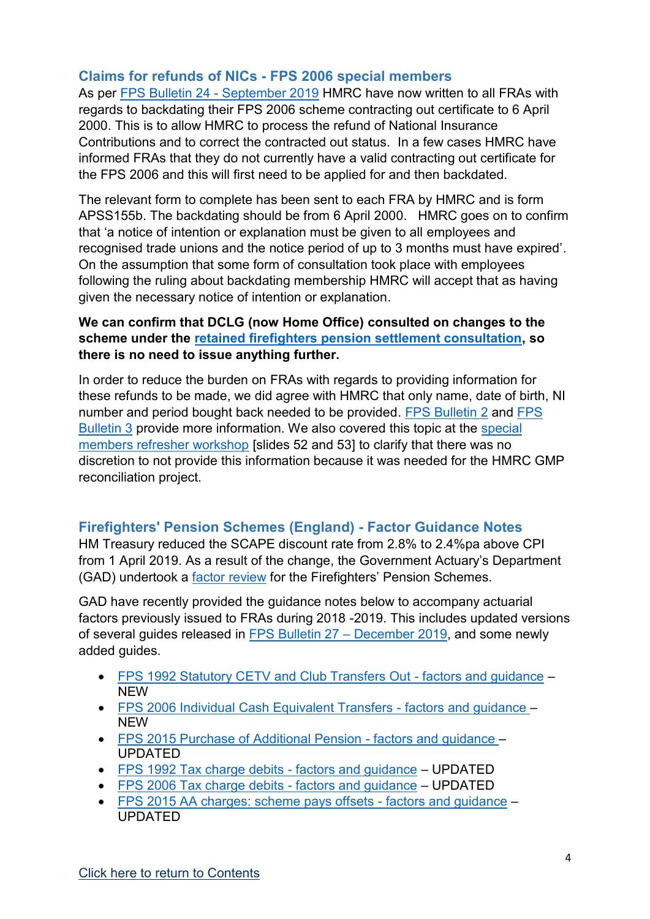### <span id="page-3-0"></span>**Claims for refunds of NICs - FPS 2006 special members**

As per [FPS Bulletin 24 -](http://www.fpsboard.org/images/PDF/Bulletin24/Bulletin24.pdf) September 2019 HMRC have now written to all FRAs with regards to backdating their FPS 2006 scheme contracting out certificate to 6 April 2000. This is to allow HMRC to process the refund of National Insurance Contributions and to correct the contracted out status. In a few cases HMRC have informed FRAs that they do not currently have a valid contracting out certificate for the FPS 2006 and this will first need to be applied for and then backdated.

The relevant form to complete has been sent to each FRA by HMRC and is form APSS155b. The backdating should be from 6 April 2000. HMRC goes on to confirm that 'a notice of intention or explanation must be given to all employees and recognised trade unions and the notice period of up to 3 months must have expired'. On the assumption that some form of consultation took place with employees following the ruling about backdating membership HMRC will accept that as having given the necessary notice of intention or explanation.

### **We can confirm that DCLG (now Home Office) consulted on changes to the scheme under the [retained firefighters pension settlement consultation,](https://www.gov.uk/government/consultations/retained-firefighters-pension-settlement-consultation) so there is no need to issue anything further.**

In order to reduce the burden on FRAs with regards to providing information for these refunds to be made, we did agree with HMRC that only name, date of birth, NI number and period bought back needed to be provided. [FPS Bulletin](http://www.fpsboard.org/images/PDF/Bulletin2/Bulletin2.v2.pdf) 2 and [FPS](http://www.fpsboard.org/images/PDF/Bulletin3/Bulletin3.pdf)  [Bulletin 3](http://www.fpsboard.org/images/PDF/Bulletin3/Bulletin3.pdf) provide more information. We also covered this topic at the [special](https://www.local.gov.uk/sites/default/files/documents/Special%20Members%20workshop%2002%2005%202018.pdf)  [members refresher workshop](https://www.local.gov.uk/sites/default/files/documents/Special%20Members%20workshop%2002%2005%202018.pdf) [slides 52 and 53] to clarify that there was no discretion to not provide this information because it was needed for the HMRC GMP reconciliation project.

### <span id="page-3-1"></span>**Firefighters' Pension Schemes (England) - Factor Guidance Notes**

HM Treasury reduced the SCAPE discount rate from 2.8% to 2.4%pa above CPI from 1 April 2019. As a result of the change, the Government Actuary's Department (GAD) undertook a **factor review** for the Firefighters' Pension Schemes.

GAD have recently provided the guidance notes below to accompany actuarial factors previously issued to FRAs during 2018 -2019. This includes updated versions of several guides released in [FPS Bulletin 27](http://fpsregs.org/images/Bulletins/Bulletin-27-December-2019/Bulletin-27.pdf) – December 2019, and some newly added guides.

- [FPS 1992 Statutory CETV and Club Transfers Out -](http://fpsregs.org/images/GAD/CETV/Fire-England-1992-CETV-guidance-300120.pdf) factors and guidance NEW
- [FPS 2006 Individual Cash Equivalent Transfers -](http://fpsregs.org/images/GAD/CETV/Fire-England-2006-CETV-guidance-300120.pdf) factors and guidance NEW
- [FPS 2015 Purchase of Additional Pension -](http://fpsregs.org/images/GAD/APBs/Fire-England-2015-added-pension-guidance-130220.pdf) factors and guidance UPDATED
- [FPS 1992 Tax charge debits -](http://fpsregs.org/images/GAD/Tax/Fire-England-1992-tax-charge-guidance-300120.pdf) factors and guidance UPDATED
- [FPS 2006 Tax charge debits -](http://fpsregs.org/images/GAD/Tax/Fire-England-2006-tax-charge-guidance-300120.pdf) factors and guidance UPDATED
- [FPS 2015 AA charges: scheme pays offsets -](http://fpsregs.org/images/GAD/Tax/Fire-England-2015-AA-scheme-pays-guidance-300120.pdf) factors and guidance UPDATED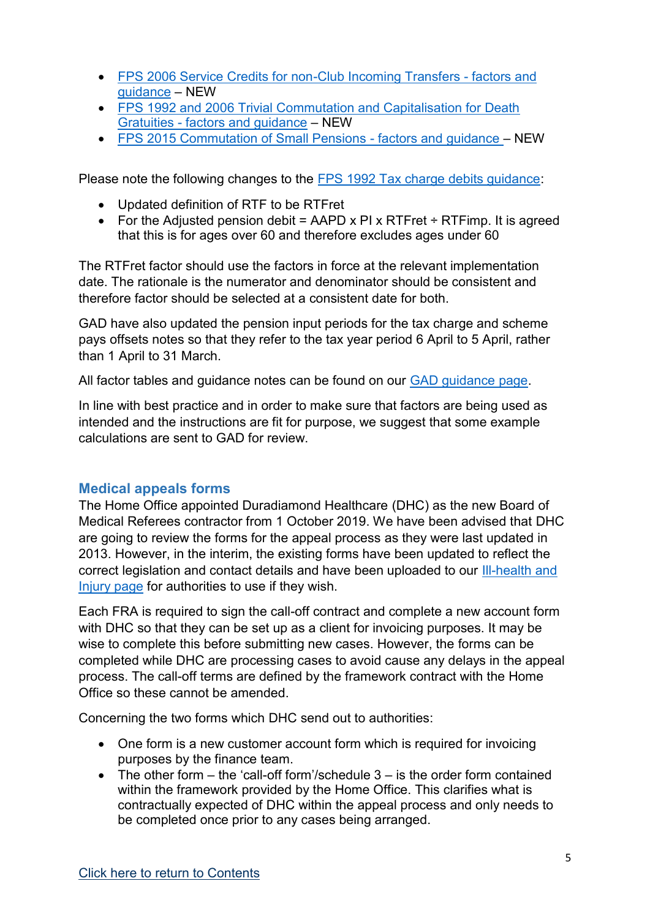- [FPS 2006 Service Credits for non-Club Incoming Transfers -](http://fpsregs.org/images/GAD/TVin/Fire-England-2006-TV-in-guidance-300120.pdf) factors and [guidance](http://fpsregs.org/images/GAD/TVin/Fire-England-2006-TV-in-guidance-300120.pdf) – NEW
- [FPS 1992 and 2006 Trivial Commutation and Capitalisation for Death](http://fpsregs.org/images/GAD/trivcomm/Fire-England-1992-2006-triv-comm-guidance-300120.pdf)  Gratuities - [factors and guidance](http://fpsregs.org/images/GAD/trivcomm/Fire-England-1992-2006-triv-comm-guidance-300120.pdf) – NEW
- [FPS 2015 Commutation of Small Pensions -](http://fpsregs.org/images/GAD/trivcomm/Fire-England-2015-triv-comm-guidance-300120.pdf) factors and guidance NEW

Please note the following changes to the [FPS 1992 Tax charge debits guidance:](http://fpsregs.org/images/GAD/Tax/Fire-England-1992-tax-charge-guidance-300120.pdf)

- Updated definition of RTF to be RTFret
- For the Adjusted pension debit = AAPD x PI x RTFret  $\div$  RTFimp. It is agreed that this is for ages over 60 and therefore excludes ages under 60

The RTFret factor should use the factors in force at the relevant implementation date. The rationale is the numerator and denominator should be consistent and therefore factor should be selected at a consistent date for both.

GAD have also updated the pension input periods for the tax charge and scheme pays offsets notes so that they refer to the tax year period 6 April to 5 April, rather than 1 April to 31 March.

All factor tables and guidance notes can be found on our [GAD guidance](http://fpsregs.org/index.php/gad-guidance) page.

In line with best practice and in order to make sure that factors are being used as intended and the instructions are fit for purpose, we suggest that some example calculations are sent to GAD for review.

### <span id="page-4-0"></span>**Medical appeals forms**

The Home Office appointed Duradiamond Healthcare (DHC) as the new Board of Medical Referees contractor from 1 October 2019. We have been advised that DHC are going to review the forms for the appeal process as they were last updated in 2013. However, in the interim, the existing forms have been updated to reflect the correct legislation and contact details and have been uploaded to our [Ill-health and](http://fpsregs.org/index.php/member-area/ill-health-and-injury)  [Injury page](http://fpsregs.org/index.php/member-area/ill-health-and-injury) for authorities to use if they wish.

Each FRA is required to sign the call-off contract and complete a new account form with DHC so that they can be set up as a client for invoicing purposes. It may be wise to complete this before submitting new cases. However, the forms can be completed while DHC are processing cases to avoid cause any delays in the appeal process. The call-off terms are defined by the framework contract with the Home Office so these cannot be amended.

Concerning the two forms which DHC send out to authorities:

- One form is a new customer account form which is required for invoicing purposes by the finance team.
- The other form the 'call-off form'/schedule 3 is the order form contained within the framework provided by the Home Office. This clarifies what is contractually expected of DHC within the appeal process and only needs to be completed once prior to any cases being arranged.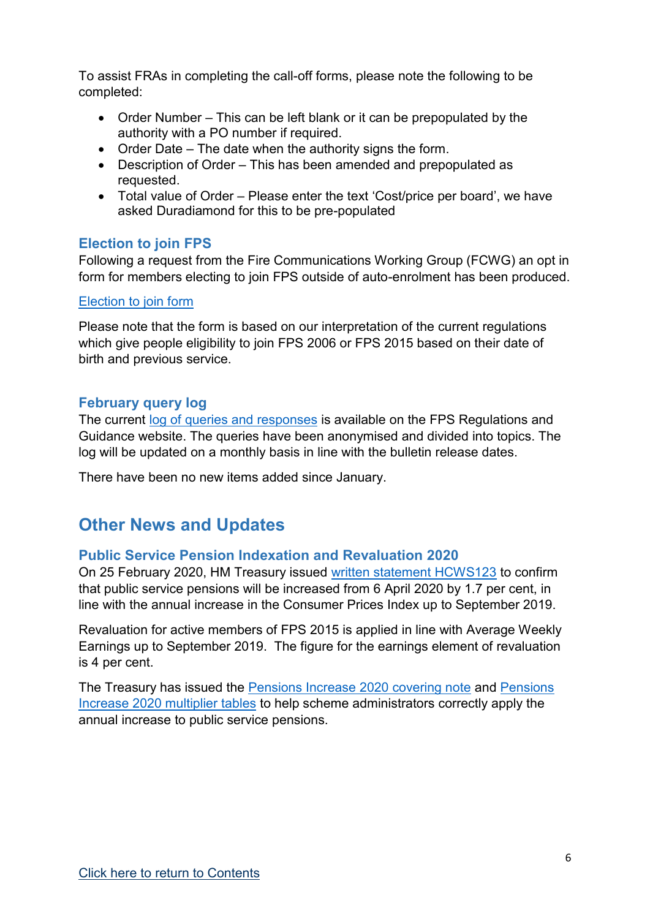To assist FRAs in completing the call-off forms, please note the following to be completed:

- Order Number This can be left blank or it can be prepopulated by the authority with a PO number if required.
- Order Date The date when the authority signs the form.
- Description of Order This has been amended and prepopulated as requested.
- Total value of Order Please enter the text 'Cost/price per board', we have asked Duradiamond for this to be pre-populated

## <span id="page-5-0"></span>**Election to join FPS**

Following a request from the Fire Communications Working Group (FCWG) an opt in form for members electing to join FPS outside of auto-enrolment has been produced.

### [Election to join form](http://fpsregs.org/images/admin/Election-to-join.docx)

Please note that the form is based on our interpretation of the current regulations which give people eligibility to join FPS 2006 or FPS 2015 based on their date of birth and previous service.

## <span id="page-5-1"></span>**February query log**

The current [log of queries and responses](http://fpsregs.org/images/admin/Technical-query-log-290120.pdf) is available on the FPS Regulations and Guidance website. The queries have been anonymised and divided into topics. The log will be updated on a monthly basis in line with the bulletin release dates.

There have been no new items added since January.

## <span id="page-5-2"></span>**Other News and Updates**

## <span id="page-5-3"></span>**Public Service Pension Indexation and Revaluation 2020**

On 25 February 2020, HM Treasury issued [written statement HCWS123](https://www.parliament.uk/business/publications/written-questions-answers-statements/written-statement/Commons/2020-02-25/HCWS123/) to confirm that public service pensions will be increased from 6 April 2020 by 1.7 per cent, in line with the annual increase in the Consumer Prices Index up to September 2019.

Revaluation for active members of FPS 2015 is applied in line with Average Weekly Earnings up to September 2019. The figure for the earnings element of revaluation is 4 per cent.

The Treasury has issued the [Pensions Increase 2020 covering note](https://assets.publishing.service.gov.uk/government/uploads/system/uploads/attachment_data/file/867888/200218_Pensions_increase_multiplier_tables_note.pdf) and [Pensions](https://assets.publishing.service.gov.uk/government/uploads/system/uploads/attachment_data/file/867889/Pensions_Increase_Multiplier_Tables_2020.xlsx)  [Increase 2020 multiplier tables](https://assets.publishing.service.gov.uk/government/uploads/system/uploads/attachment_data/file/867889/Pensions_Increase_Multiplier_Tables_2020.xlsx) to help scheme administrators correctly apply the annual increase to public service pensions.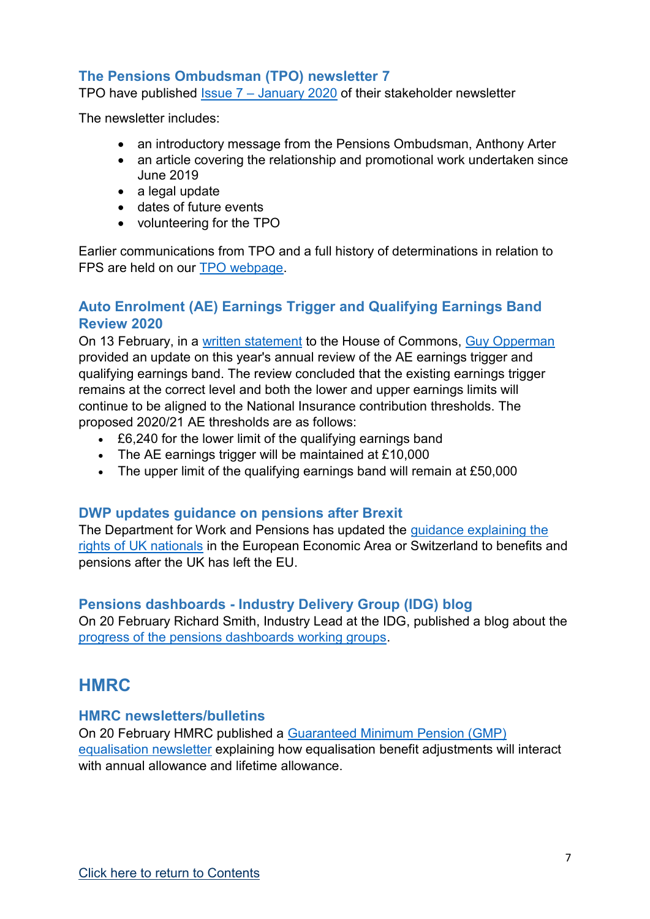## <span id="page-6-0"></span>**The Pensions Ombudsman (TPO) newsletter 7**

TPO have published Issue  $7 -$  [January 2020](http://fpsregs.org/images/Legal/TPO/TPO-stakeholder-newsletter-January-2020.pdf) of their stakeholder newsletter

The newsletter includes:

- an introductory message from the Pensions Ombudsman, Anthony Arter
- an article covering the relationship and promotional work undertaken since June 2019
- a legal update
- dates of future events
- volunteering for the TPO

Earlier communications from TPO and a full history of determinations in relation to FPS are held on our [TPO webpage.](http://fpsregs.org/index.php/legal-landscape/the-pensions-ombudsman)

### <span id="page-6-1"></span>**Auto Enrolment (AE) Earnings Trigger and Qualifying Earnings Band Review 2020**

On 13 February, in a [written statement](https://www.parliament.uk/business/publications/written-questions-answers-statements/written-statement/Commons/2020-02-13/HCWS116/) to the House of Commons, [Guy Opperman](https://members.parliament.uk/member/4142/contact) provided an update on this year's annual review of the AE earnings trigger and qualifying earnings band. The review concluded that the existing earnings trigger remains at the correct level and both the lower and upper earnings limits will continue to be aligned to the National Insurance contribution thresholds. The proposed 2020/21 AE thresholds are as follows:

- £6,240 for the lower limit of the qualifying earnings band
- The AE earnings trigger will be maintained at £10,000
- The upper limit of the qualifying earnings band will remain at £50,000

### <span id="page-6-2"></span>**DWP updates guidance on pensions after Brexit**

The Department for Work and Pensions has updated the [guidance explaining the](https://www.gov.uk/guidance/benefits-and-pensions-for-uk-nationals-in-the-eea-or-switzerland)  [rights of UK nationals](https://www.gov.uk/guidance/benefits-and-pensions-for-uk-nationals-in-the-eea-or-switzerland) in the European Economic Area or Switzerland to benefits and pensions after the UK has left the EU.

### <span id="page-6-3"></span>**Pensions dashboards - Industry Delivery Group (IDG) blog**

On 20 February Richard Smith, Industry Lead at the IDG, published a blog about the [progress of the pensions dashboards working groups.](https://moneyandpensionsservice.org.uk/2020/02/20/pensions-dashboards-moving-forward-with-working-groups/)

## <span id="page-6-4"></span>**HMRC**

#### <span id="page-6-5"></span>**HMRC newsletters/bulletins**

On 20 February HMRC published a [Guaranteed Minimum Pension \(GMP\)](https://www.gov.uk/government/publications/guaranteed-minimum-pension-gmp-equalisation-newsletter-february-2020/guaranteed-minimum-pension-gmp-equalisation-newsletter-february-2020)  [equalisation newsletter](https://www.gov.uk/government/publications/guaranteed-minimum-pension-gmp-equalisation-newsletter-february-2020/guaranteed-minimum-pension-gmp-equalisation-newsletter-february-2020) explaining how equalisation benefit adjustments will interact with annual allowance and lifetime allowance.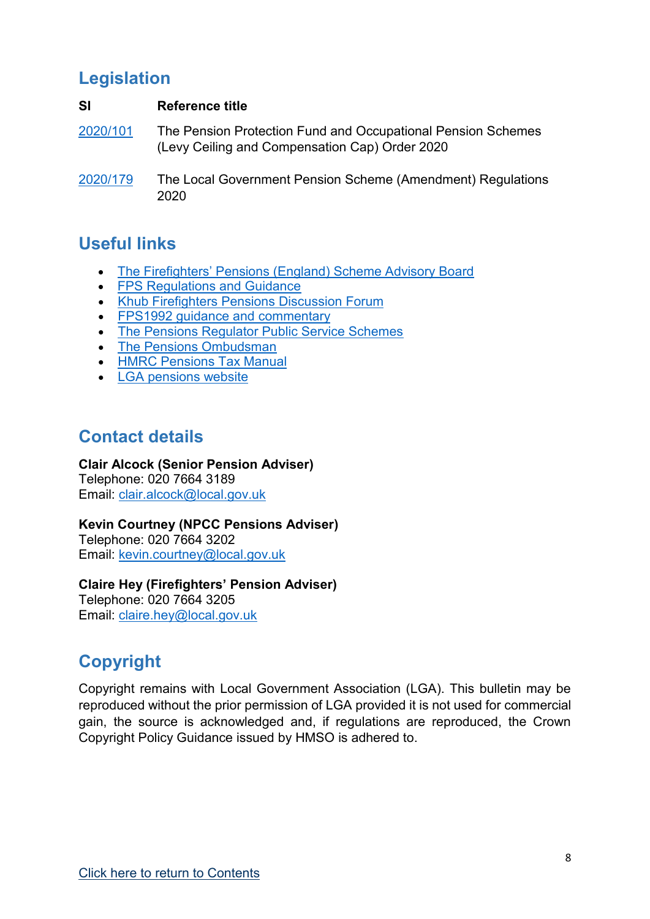## <span id="page-7-0"></span>**Legislation**

#### **SI Reference title**

[2020/101](https://www.legislation.gov.uk/uksi/2020/101/contents/made) The Pension Protection Fund and Occupational Pension Schemes (Levy Ceiling and Compensation Cap) Order 2020

## <span id="page-7-1"></span>**Useful links**

- [The Firefighters' Pensions \(England\) Scheme Advisory Board](http://www.fpsboard.org/)
- [FPS Regulations and Guidance](http://www.fpsregs.org/)
- Khub [Firefighters Pensions Discussion Forum](https://khub.net/group/thefirefighterspensionsdiscussionforum)
- [FPS1992 guidance and commentary](http://webarchive.nationalarchives.gov.uk/20120919152859tf_/http:/www.communities.gov.uk/fire/firerescueservice/firefighterpensions/firefighterspensionscheme/)
- [The Pensions Regulator Public Service Schemes](http://www.thepensionsregulator.gov.uk/public-service-schemes.aspx)
- [The Pensions Ombudsman](https://www.pensions-ombudsman.org.uk/)
- [HMRC Pensions Tax Manual](https://www.gov.uk/hmrc-internal-manuals/pensions-tax-manual)
- [LGA pensions website](https://www.local.gov.uk/our-support/workforce-and-hr-support/local-government-pensions)

## <span id="page-7-2"></span>**Contact details**

### **Clair Alcock (Senior Pension Adviser)**

Telephone: 020 7664 3189 Email: [clair.alcock@local.gov.uk](mailto:clair.alcock@local.gov.uk)

### **Kevin Courtney (NPCC Pensions Adviser)**

Telephone: 020 7664 3202 Email: [kevin.courtney@local.gov.uk](mailto:kevin.courtney@local.gov.uk)

## **Claire Hey (Firefighters' Pension Adviser)**

Telephone: 020 7664 3205 Email: [claire.hey@local.gov.uk](mailto:claire.hey@local.gov.uk)

# **Copyright**

Copyright remains with Local Government Association (LGA). This bulletin may be reproduced without the prior permission of LGA provided it is not used for commercial gain, the source is acknowledged and, if regulations are reproduced, the Crown Copyright Policy Guidance issued by HMSO is adhered to.

[<sup>2020/179</sup>](http://www.legislation.gov.uk/uksi/2020/179/contents/made) The Local Government Pension Scheme (Amendment) Regulations 2020